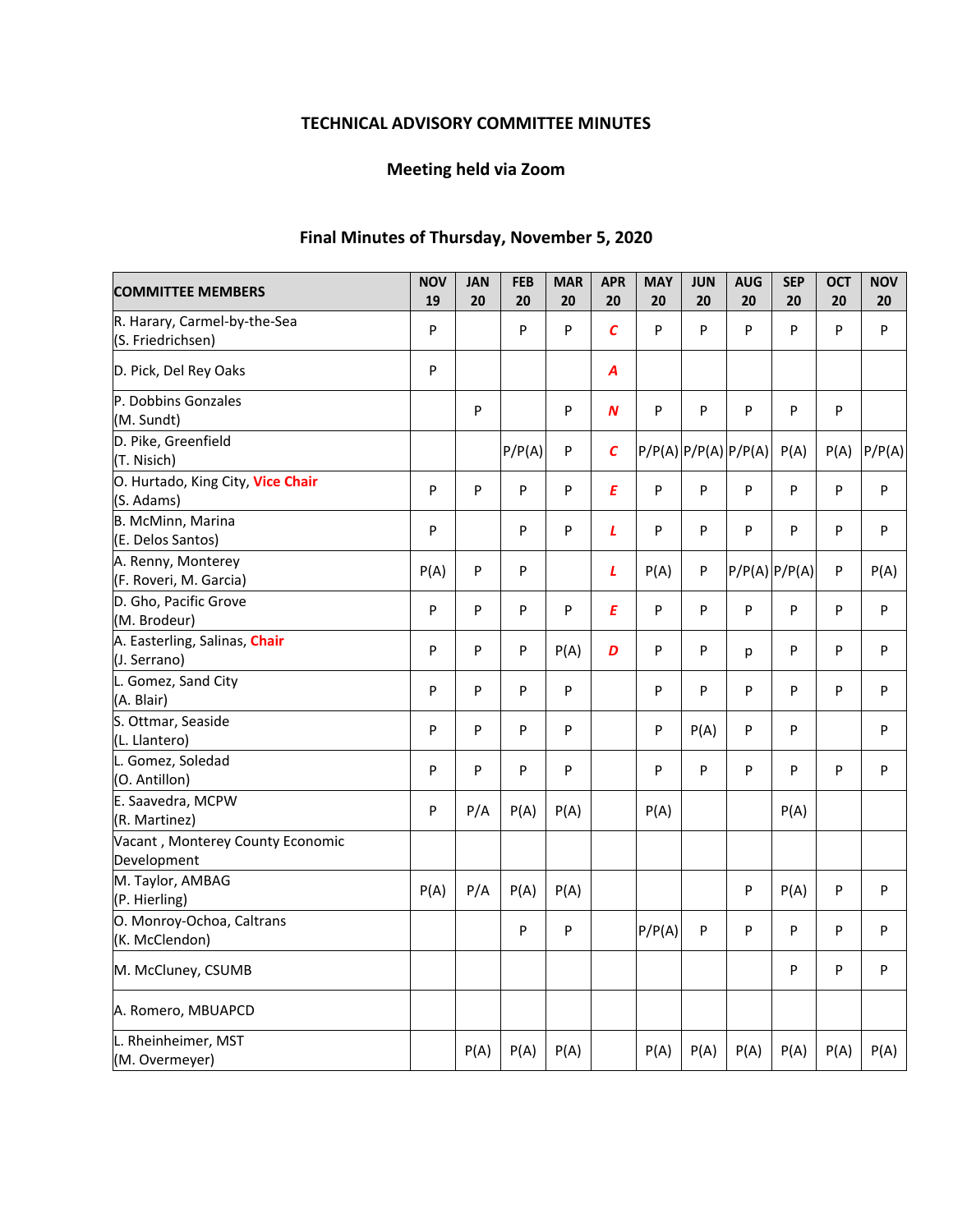# **TECHNICAL ADVISORY COMMITTEE MINUTES**

# **Meeting held via Zoom**

# **Final Minutes of Thursday, November 5, 2020**

| <b>COMMITTEE MEMBERS</b>                          | <b>NOV</b><br>19 | <b>JAN</b><br>20 | <b>FEB</b><br>20 | <b>MAR</b><br>20 | <b>APR</b><br>20 | <b>MAY</b><br>20 | <b>JUN</b><br>20 | <b>AUG</b><br>20           | <b>SEP</b><br>20  | <b>OCT</b><br>20 | <b>NOV</b><br>20 |
|---------------------------------------------------|------------------|------------------|------------------|------------------|------------------|------------------|------------------|----------------------------|-------------------|------------------|------------------|
| R. Harary, Carmel-by-the-Sea<br>(S. Friedrichsen) | P                |                  | P                | P                | $\epsilon$       | P                | P                | P                          | P                 | P                | P                |
| D. Pick, Del Rey Oaks                             | P                |                  |                  |                  | Α                |                  |                  |                            |                   |                  |                  |
| P. Dobbins Gonzales<br>(M. Sundt)                 |                  | P                |                  | P                | N                | P                | P                | P                          | ${\sf P}$         | P                |                  |
| D. Pike, Greenfield<br>(T. Nisich)                |                  |                  | P/P(A)           | P                | $\mathcal{C}$    |                  |                  | $P/P(A)$ $P/P(A)$ $P/P(A)$ | P(A)              | P(A)             | P/P(A)           |
| O. Hurtado, King City, Vice Chair<br>(S. Adams)   | P                | P                | P                | P                | E                | P                | P                | P                          | P                 | P                | $\sf P$          |
| B. McMinn, Marina<br>(E. Delos Santos)            | P                |                  | P                | P                | L                | P                | P                | P                          | P                 | P                | P                |
| A. Renny, Monterey<br>(F. Roveri, M. Garcia)      | P(A)             | P                | P                |                  | L                | P(A)             | P                |                            | $P/P(A)$ $P/P(A)$ | P                | P(A)             |
| D. Gho, Pacific Grove<br>(M. Brodeur)             | P                | P                | P                | P                | E                | P                | P                | P                          | P                 | P                | P                |
| A. Easterling, Salinas, Chair<br>(J. Serrano)     | P                | P                | P                | P(A)             | D                | P                | P                | p                          | P                 | P                | P                |
| L. Gomez, Sand City<br>(A. Blair)                 | P                | P                | P                | P                |                  | P                | P                | P                          | P                 | P                | P                |
| S. Ottmar, Seaside<br>(L. Llantero)               | P                | P                | P                | P                |                  | P                | P(A)             | P                          | P                 |                  | P                |
| L. Gomez, Soledad<br>(O. Antillon)                | P                | P                | P                | P                |                  | P                | P                | P                          | P                 | P                | P                |
| E. Saavedra, MCPW<br>(R. Martinez)                | P                | P/A              | P(A)             | P(A)             |                  | P(A)             |                  |                            | P(A)              |                  |                  |
| Vacant, Monterey County Economic<br>Development   |                  |                  |                  |                  |                  |                  |                  |                            |                   |                  |                  |
| M. Taylor, AMBAG<br>(P. Hierling)                 | P(A)             | P/A              | P(A)             | P(A)             |                  |                  |                  | P                          | P(A)              | P                | P                |
| O. Monroy-Ochoa, Caltrans<br>(K. McClendon)       |                  |                  | P                | P                |                  | P/P(A)           | P                | P                          | P                 | P                | P                |
| M. McCluney, CSUMB                                |                  |                  |                  |                  |                  |                  |                  |                            | P                 | P                | P                |
| A. Romero, MBUAPCD                                |                  |                  |                  |                  |                  |                  |                  |                            |                   |                  |                  |
| L. Rheinheimer, MST<br>(M. Overmeyer)             |                  | P(A)             | P(A)             | P(A)             |                  | P(A)             | P(A)             | P(A)                       | P(A)              | P(A)             | P(A)             |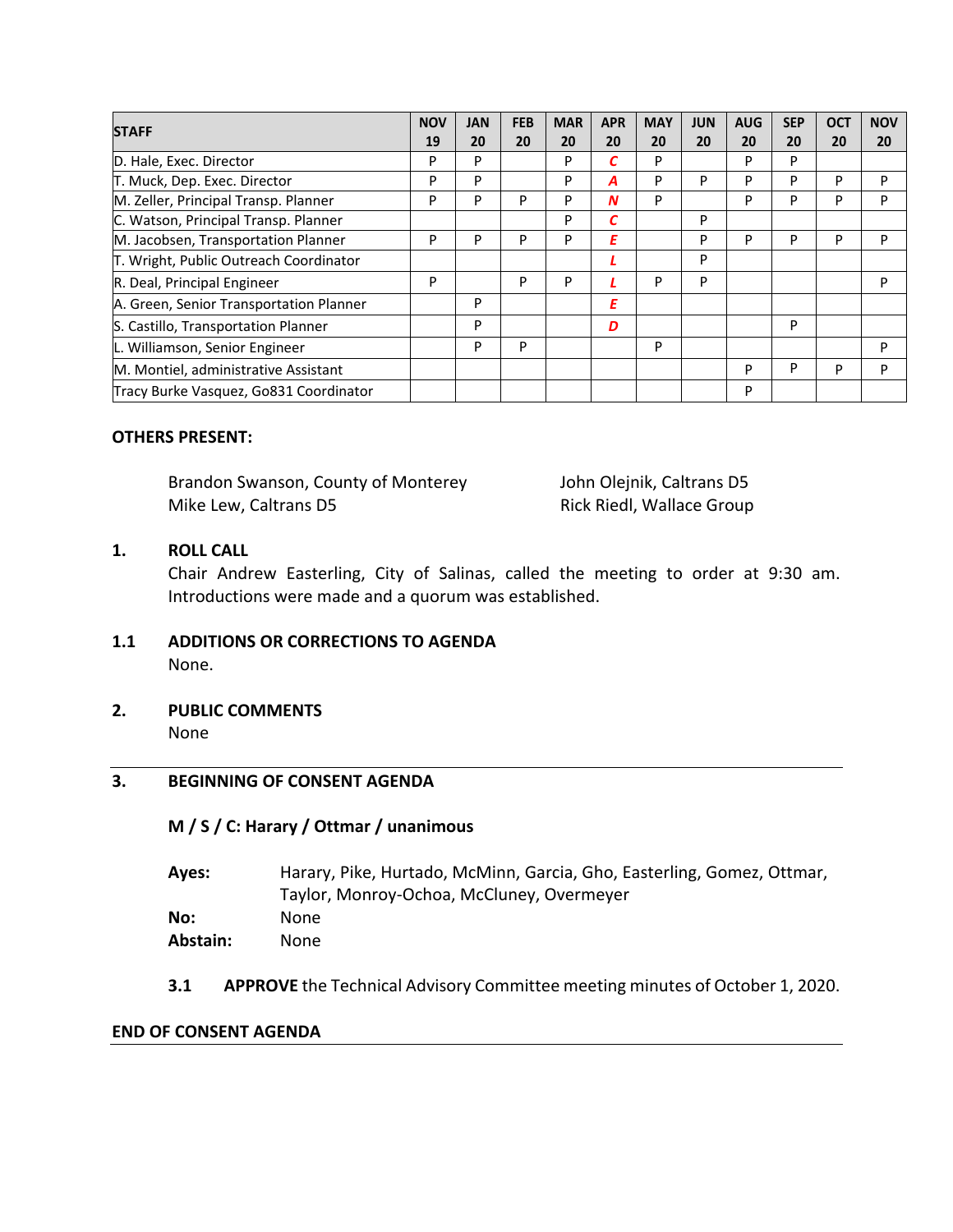| <b>STAFF</b>                            |    | JAN | <b>FEB</b> | <b>MAR</b> | <b>APR</b> | <b>MAY</b> | <b>JUN</b> | <b>AUG</b> | <b>SEP</b> | <b>OCT</b> | <b>NOV</b> |
|-----------------------------------------|----|-----|------------|------------|------------|------------|------------|------------|------------|------------|------------|
|                                         | 19 | 20  | 20         | 20         | 20         | 20         | 20         | 20         | 20         | 20         | 20         |
| D. Hale, Exec. Director                 | P  | P   |            | P          |            | P          |            | P          | P          |            |            |
| T. Muck, Dep. Exec. Director            | P  | P   |            | P          | А          | P          | P          | P          | P          | P          | P          |
| M. Zeller, Principal Transp. Planner    | P  | P   | P          | P          | N          | P          |            | P          | P          | P          | P          |
| C. Watson, Principal Transp. Planner    |    |     |            | P          | С          |            | P          |            |            |            |            |
| M. Jacobsen, Transportation Planner     |    | P   | P          | P          | Ε          |            | P          | P          | P          | P          | P          |
| T. Wright, Public Outreach Coordinator  |    |     |            |            |            |            | P          |            |            |            |            |
| R. Deal, Principal Engineer             | P  |     | P          | P          |            | P          | P          |            |            |            | P          |
| A. Green, Senior Transportation Planner |    | P   |            |            | Ε          |            |            |            |            |            |            |
| S. Castillo, Transportation Planner     |    | P   |            |            | D          |            |            |            | P          |            |            |
| L. Williamson, Senior Engineer          |    | P   | P          |            |            | P          |            |            |            |            | P          |
| M. Montiel, administrative Assistant    |    |     |            |            |            |            |            | P          | P          | P          | P          |
| Tracy Burke Vasquez, Go831 Coordinator  |    |     |            |            |            |            |            | P          |            |            |            |

### **OTHERS PRESENT:**

Brandon Swanson, County of Monterey **Standard Standard John Olejnik, Caltrans D5** Mike Lew, Caltrans D5 **8 19 September 20 September 2016** Rick Riedl, Wallace Group

## **1. ROLL CALL**

Chair Andrew Easterling, City of Salinas, called the meeting to order at 9:30 am. Introductions were made and a quorum was established.

## **1.1 ADDITIONS OR CORRECTIONS TO AGENDA**  None.

**2. PUBLIC COMMENTS**  None

## **3. BEGINNING OF CONSENT AGENDA**

#### **M / S / C: Harary / Ottmar / unanimous**

| Aves:    | Harary, Pike, Hurtado, McMinn, Garcia, Gho, Easterling, Gomez, Ottmar, |
|----------|------------------------------------------------------------------------|
|          | Taylor, Monroy-Ochoa, McCluney, Overmeyer                              |
| No:      | None                                                                   |
| Abstain: | None                                                                   |
|          |                                                                        |

**3.1 APPROVE** the Technical Advisory Committee meeting minutes of October 1, 2020.

#### **END OF CONSENT AGENDA**